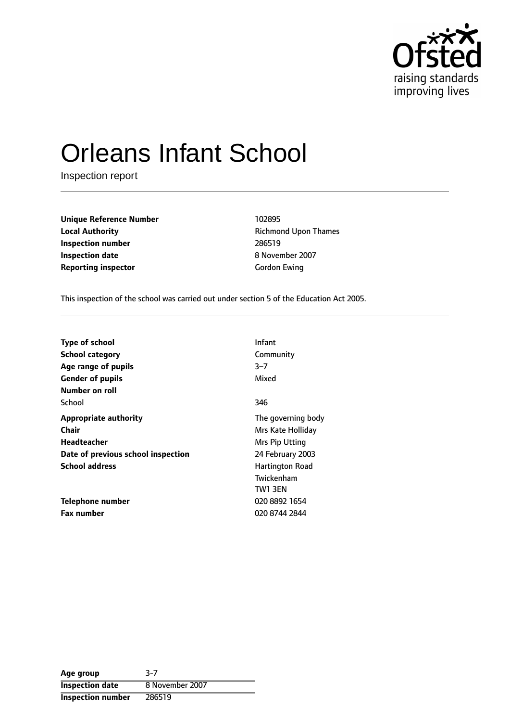

# Orleans Infant School

Inspection report

**Unique Reference Number** 102895 **Local Authority Constanting Richmond Upon Thames Inspection number** 286519 **Inspection date** 8 November 2007 **Reporting inspector** Gordon Ewing

This inspection of the school was carried out under section 5 of the Education Act 2005.

| Infant                 |
|------------------------|
| Community              |
| $3 - 7$                |
| Mixed                  |
|                        |
| 346                    |
| The governing body     |
| Mrs Kate Holliday      |
| Mrs Pip Utting         |
| 24 February 2003       |
| <b>Hartington Road</b> |
| Twickenham             |
| TW1 3EN                |
| 020 8892 1654          |
| 020 8744 2844          |
|                        |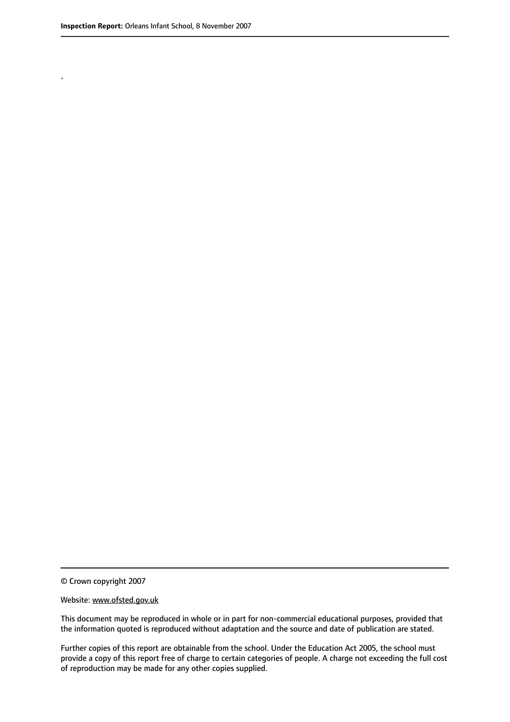.

© Crown copyright 2007

#### Website: www.ofsted.gov.uk

This document may be reproduced in whole or in part for non-commercial educational purposes, provided that the information quoted is reproduced without adaptation and the source and date of publication are stated.

Further copies of this report are obtainable from the school. Under the Education Act 2005, the school must provide a copy of this report free of charge to certain categories of people. A charge not exceeding the full cost of reproduction may be made for any other copies supplied.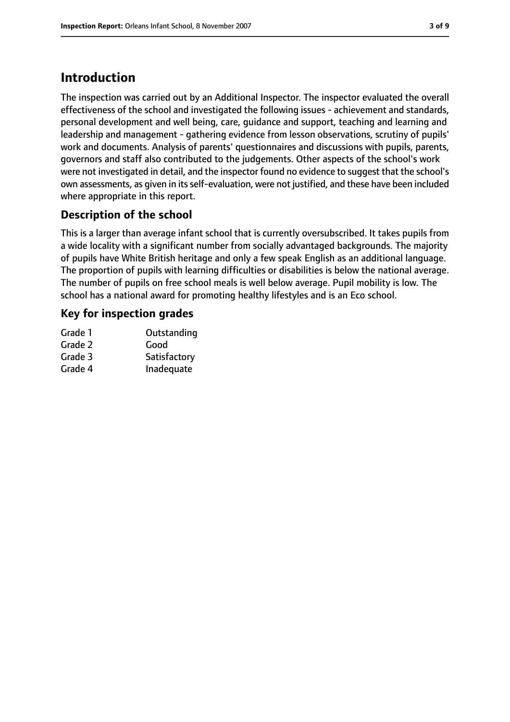# **Introduction**

The inspection was carried out by an Additional Inspector. The inspector evaluated the overall effectiveness of the school and investigated the following issues - achievement and standards, personal development and well being, care, guidance and support, teaching and learning and leadership and management - gathering evidence from lesson observations, scrutiny of pupils' work and documents. Analysis of parents' questionnaires and discussions with pupils, parents, governors and staff also contributed to the judgements. Other aspects of the school's work were not investigated in detail, and the inspector found no evidence to suggest that the school's own assessments, as given in its self-evaluation, were not justified, and these have been included where appropriate in this report.

## **Description of the school**

This is a larger than average infant school that is currently oversubscribed. It takes pupils from a wide locality with a significant number from socially advantaged backgrounds. The majority of pupils have White British heritage and only a few speak English as an additional language. The proportion of pupils with learning difficulties or disabilities is below the national average. The number of pupils on free school meals is well below average. Pupil mobility is low. The school has a national award for promoting healthy lifestyles and is an Eco school.

## **Key for inspection grades**

| Grade 1 | Outstanding  |
|---------|--------------|
| Grade 2 | Good         |
| Grade 3 | Satisfactory |
| Grade 4 | Inadequate   |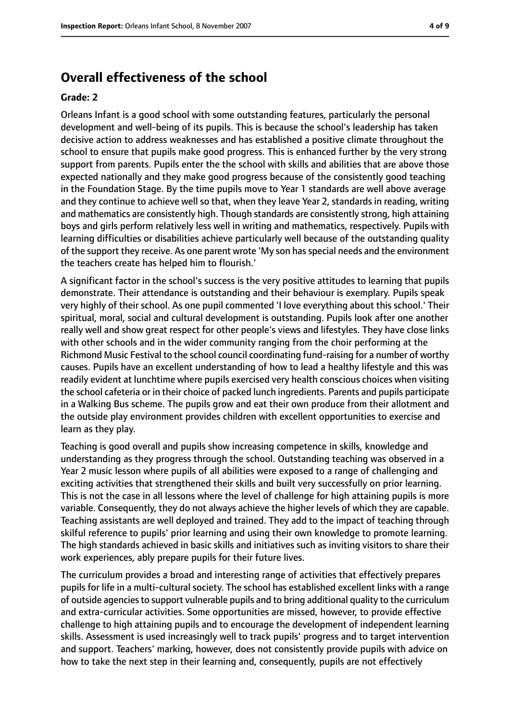## **Overall effectiveness of the school**

#### **Grade: 2**

Orleans Infant is a good school with some outstanding features, particularly the personal development and well-being of its pupils. This is because the school's leadership has taken decisive action to address weaknesses and has established a positive climate throughout the school to ensure that pupils make good progress. This is enhanced further by the very strong support from parents. Pupils enter the the school with skills and abilities that are above those expected nationally and they make good progress because of the consistently good teaching in the Foundation Stage. By the time pupils move to Year 1 standards are well above average and they continue to achieve well so that, when they leave Year 2, standards in reading, writing and mathematics are consistently high. Though standards are consistently strong, high attaining boys and girls perform relatively less well in writing and mathematics, respectively. Pupils with learning difficulties or disabilities achieve particularly well because of the outstanding quality of the support they receive. As one parent wrote 'My son has special needs and the environment the teachers create has helped him to flourish.'

A significant factor in the school's success is the very positive attitudes to learning that pupils demonstrate. Their attendance is outstanding and their behaviour is exemplary. Pupils speak very highly of their school. As one pupil commented 'I love everything about this school.' Their spiritual, moral, social and cultural development is outstanding. Pupils look after one another really well and show great respect for other people's views and lifestyles. They have close links with other schools and in the wider community ranging from the choir performing at the Richmond Music Festival to the school council coordinating fund-raising for a number of worthy causes. Pupils have an excellent understanding of how to lead a healthy lifestyle and this was readily evident at lunchtime where pupils exercised very health conscious choices when visiting the school cafeteria or in their choice of packed lunch ingredients. Parents and pupils participate in a Walking Bus scheme. The pupils grow and eat their own produce from their allotment and the outside play environment provides children with excellent opportunities to exercise and learn as they play.

Teaching is good overall and pupils show increasing competence in skills, knowledge and understanding as they progress through the school. Outstanding teaching was observed in a Year 2 music lesson where pupils of all abilities were exposed to a range of challenging and exciting activities that strengthened their skills and built very successfully on prior learning. This is not the case in all lessons where the level of challenge for high attaining pupils is more variable. Consequently, they do not always achieve the higher levels of which they are capable. Teaching assistants are well deployed and trained. They add to the impact of teaching through skilful reference to pupils' prior learning and using their own knowledge to promote learning. The high standards achieved in basic skills and initiatives such as inviting visitors to share their work experiences, ably prepare pupils for their future lives.

The curriculum provides a broad and interesting range of activities that effectively prepares pupils for life in a multi-cultural society. The school has established excellent links with a range of outside agencies to support vulnerable pupils and to bring additional quality to the curriculum and extra-curricular activities. Some opportunities are missed, however, to provide effective challenge to high attaining pupils and to encourage the development of independent learning skills. Assessment is used increasingly well to track pupils' progress and to target intervention and support. Teachers' marking, however, does not consistently provide pupils with advice on how to take the next step in their learning and, consequently, pupils are not effectively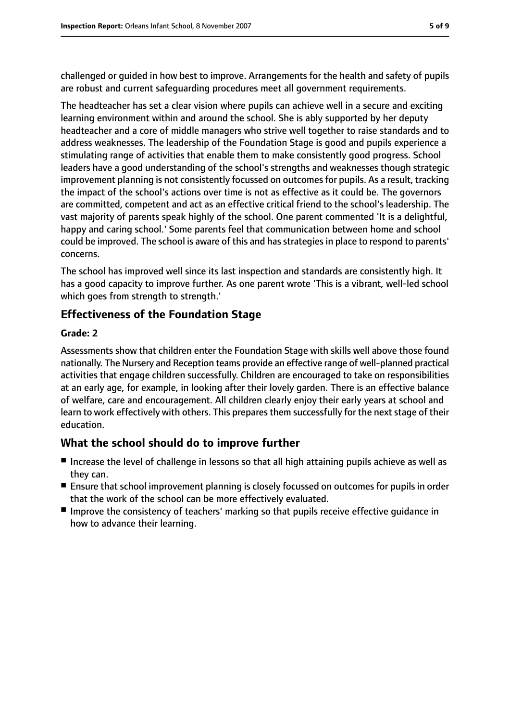challenged or guided in how best to improve. Arrangements for the health and safety of pupils are robust and current safeguarding procedures meet all government requirements.

The headteacher has set a clear vision where pupils can achieve well in a secure and exciting learning environment within and around the school. She is ably supported by her deputy headteacher and a core of middle managers who strive well together to raise standards and to address weaknesses. The leadership of the Foundation Stage is good and pupils experience a stimulating range of activities that enable them to make consistently good progress. School leaders have a good understanding of the school's strengths and weaknesses though strategic improvement planning is not consistently focussed on outcomes for pupils. As a result, tracking the impact of the school's actions over time is not as effective as it could be. The governors are committed, competent and act as an effective critical friend to the school's leadership. The vast majority of parents speak highly of the school. One parent commented 'It is a delightful, happy and caring school.' Some parents feel that communication between home and school could be improved. The school is aware of this and has strategies in place to respond to parents' concerns.

The school has improved well since its last inspection and standards are consistently high. It has a good capacity to improve further. As one parent wrote 'This is a vibrant, well-led school which goes from strength to strength.'

## **Effectiveness of the Foundation Stage**

#### **Grade: 2**

Assessments show that children enter the Foundation Stage with skills well above those found nationally. The Nursery and Reception teams provide an effective range of well-planned practical activities that engage children successfully. Children are encouraged to take on responsibilities at an early age, for example, in looking after their lovely garden. There is an effective balance of welfare, care and encouragement. All children clearly enjoy their early years at school and learn to work effectively with others. This prepares them successfully for the next stage of their education.

## **What the school should do to improve further**

- Increase the level of challenge in lessons so that all high attaining pupils achieve as well as they can.
- Ensure that school improvement planning is closely focussed on outcomes for pupils in order that the work of the school can be more effectively evaluated.
- Improve the consistency of teachers' marking so that pupils receive effective quidance in how to advance their learning.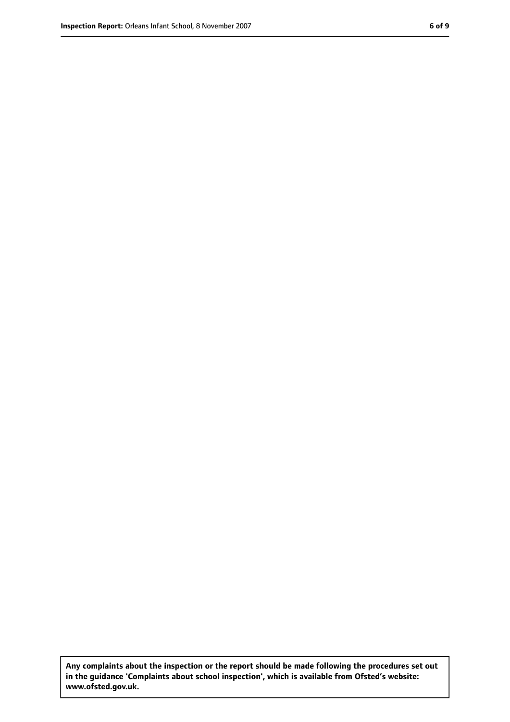**Any complaints about the inspection or the report should be made following the procedures set out in the guidance 'Complaints about school inspection', which is available from Ofsted's website: www.ofsted.gov.uk.**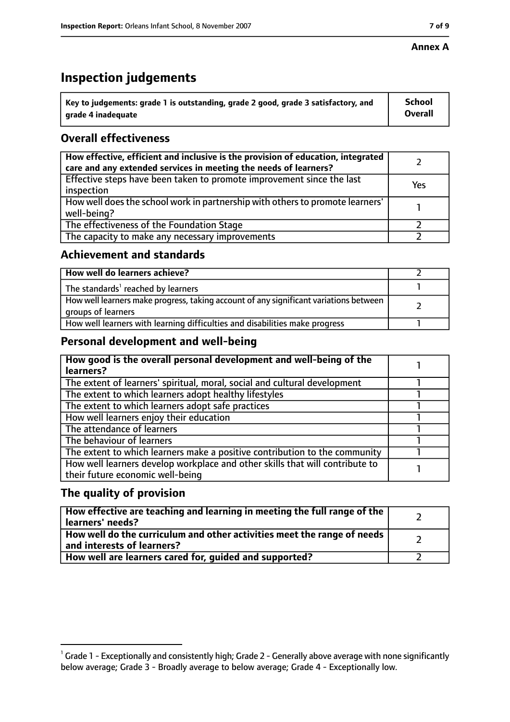#### **Annex A**

## **Inspection judgements**

| $^{\backprime}$ Key to judgements: grade 1 is outstanding, grade 2 good, grade 3 satisfactory, and | <b>School</b>  |
|----------------------------------------------------------------------------------------------------|----------------|
| arade 4 inadequate                                                                                 | <b>Overall</b> |

## **Overall effectiveness**

| How effective, efficient and inclusive is the provision of education, integrated<br>care and any extended services in meeting the needs of learners? |     |
|------------------------------------------------------------------------------------------------------------------------------------------------------|-----|
| Effective steps have been taken to promote improvement since the last<br>inspection                                                                  | Yes |
| How well does the school work in partnership with others to promote learners'<br>well-being?                                                         |     |
| The effectiveness of the Foundation Stage                                                                                                            |     |
| The capacity to make any necessary improvements                                                                                                      |     |

## **Achievement and standards**

| How well do learners achieve?                                                                               |  |
|-------------------------------------------------------------------------------------------------------------|--|
| The standards <sup>1</sup> reached by learners                                                              |  |
| How well learners make progress, taking account of any significant variations between<br>groups of learners |  |
| How well learners with learning difficulties and disabilities make progress                                 |  |

## **Personal development and well-being**

| How good is the overall personal development and well-being of the<br>learners?                                  |  |
|------------------------------------------------------------------------------------------------------------------|--|
| The extent of learners' spiritual, moral, social and cultural development                                        |  |
| The extent to which learners adopt healthy lifestyles                                                            |  |
| The extent to which learners adopt safe practices                                                                |  |
| How well learners enjoy their education                                                                          |  |
| The attendance of learners                                                                                       |  |
| The behaviour of learners                                                                                        |  |
| The extent to which learners make a positive contribution to the community                                       |  |
| How well learners develop workplace and other skills that will contribute to<br>their future economic well-being |  |

## **The quality of provision**

| How effective are teaching and learning in meeting the full range of the<br>learners' needs?          |  |
|-------------------------------------------------------------------------------------------------------|--|
| How well do the curriculum and other activities meet the range of needs<br>and interests of learners? |  |
| How well are learners cared for, guided and supported?                                                |  |

 $^1$  Grade 1 - Exceptionally and consistently high; Grade 2 - Generally above average with none significantly below average; Grade 3 - Broadly average to below average; Grade 4 - Exceptionally low.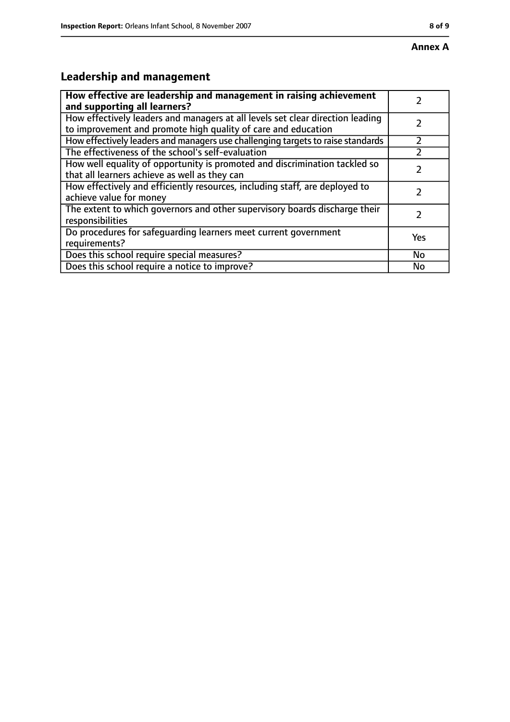# **Leadership and management**

| How effective are leadership and management in raising achievement<br>and supporting all learners?                                              |     |
|-------------------------------------------------------------------------------------------------------------------------------------------------|-----|
| How effectively leaders and managers at all levels set clear direction leading<br>to improvement and promote high quality of care and education |     |
| How effectively leaders and managers use challenging targets to raise standards                                                                 |     |
| The effectiveness of the school's self-evaluation                                                                                               |     |
| How well equality of opportunity is promoted and discrimination tackled so<br>that all learners achieve as well as they can                     |     |
| How effectively and efficiently resources, including staff, are deployed to<br>achieve value for money                                          |     |
| The extent to which governors and other supervisory boards discharge their<br>responsibilities                                                  |     |
| Do procedures for safequarding learners meet current government<br>requirements?                                                                | Yes |
| Does this school require special measures?                                                                                                      | No  |
| Does this school require a notice to improve?                                                                                                   | No  |